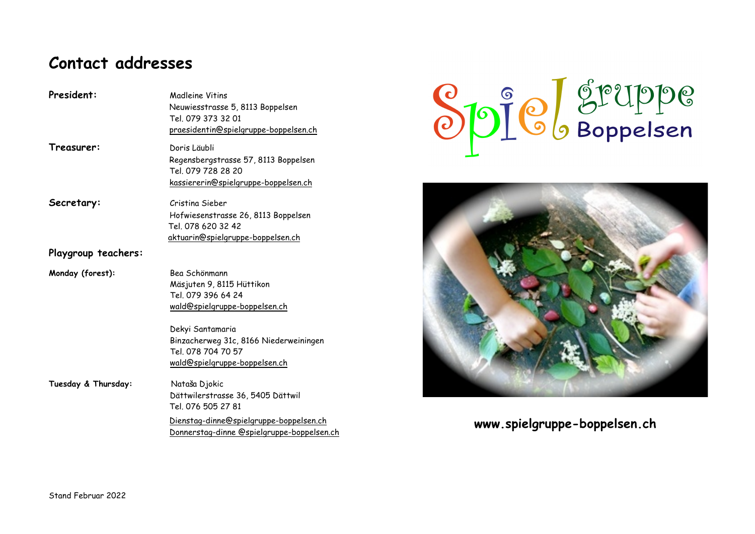# **Contact addresses**

| Treasurer:<br>Doris Läubli<br>Regensbergstrasse 57, 8113 Boppelsen                                                                                                                       |  |
|------------------------------------------------------------------------------------------------------------------------------------------------------------------------------------------|--|
| Tel. 079 728 28 20<br>kassiererin@spielgruppe-boppelsen.ch                                                                                                                               |  |
| Secretary:<br>Cristina Sieber<br>Hofwiesenstrasse 26, 8113 Boppelsen<br>Tel. 078 620 32 42<br>aktuarin@spielgruppe-boppelsen.ch                                                          |  |
| Playgroup teachers:                                                                                                                                                                      |  |
| Bea Schönmann<br>Monday (forest):<br>Mäsjuten 9, 8115 Hüttikon<br>Tel 079 396 64 24<br>wald@spielgruppe-boppelsen.ch                                                                     |  |
| Dekyi Santamaria<br>Binzacherweg 31c, 8166 Niederweiningen<br>Tel 078 704 70 57<br>wald@spielgruppe-boppelsen.ch                                                                         |  |
| Tuesday & Thursday:<br>Nataša Djokic<br>Dättwilerstrasse 36, 5405 Dättwil<br>Tel. 076 505 27 81<br>Dienstag-dinne@spielgruppe-boppelsen.ch<br>Donnerstag-dinne @spielgruppe-boppelsen.ch |  |





# **www.spielgruppe-boppelsen.ch**